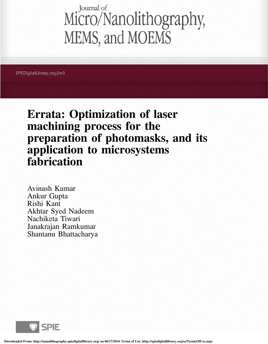## Journal of Micro/Nanolithography, MEMS, and MOEMS

SPIEDigitalLibrary.org/jm3

Errata: Optimization of laser machining process for the preparation of photomasks, and its application to microsystems fabrication

Avinash Kumar Ankur Gupta Rishi Kant Akhtar Syed Nadeem Nachiketa Tiwari Janakrajan Ramkumar Shantanu Bhattacharya